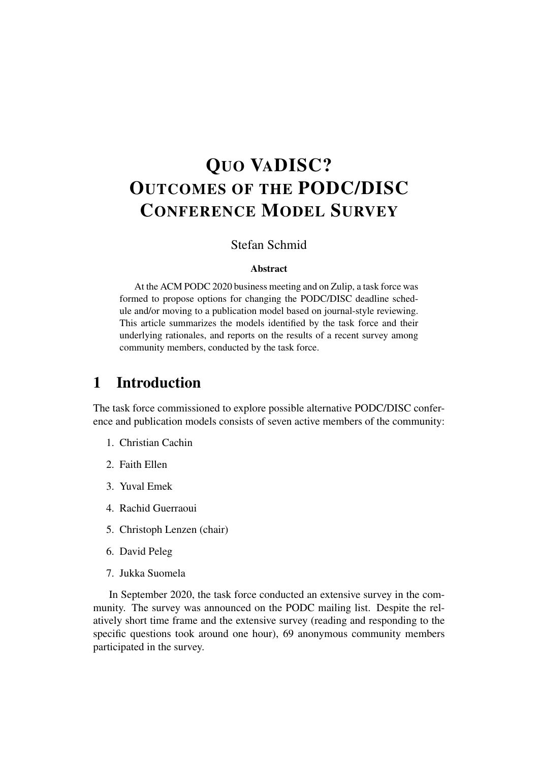# QUO VADISC? OUTCOMES OF THE PODC/DISC CONFERENCE MODEL SURVEY

### Stefan Schmid

#### Abstract

At the ACM PODC 2020 business meeting and on Zulip, a task force was formed to propose options for changing the PODC/DISC deadline schedule and/or moving to a publication model based on journal-style reviewing. This article summarizes the models identified by the task force and their underlying rationales, and reports on the results of a recent survey among community members, conducted by the task force.

# 1 Introduction

The task force commissioned to explore possible alternative PODC/DISC conference and publication models consists of seven active members of the community:

- 1. Christian Cachin
- 2. Faith Ellen
- 3. Yuval Emek
- 4. Rachid Guerraoui
- 5. Christoph Lenzen (chair)
- 6. David Peleg
- 7. Jukka Suomela

In September 2020, the task force conducted an extensive survey in the community. The survey was announced on the PODC mailing list. Despite the relatively short time frame and the extensive survey (reading and responding to the specific questions took around one hour), 69 anonymous community members participated in the survey.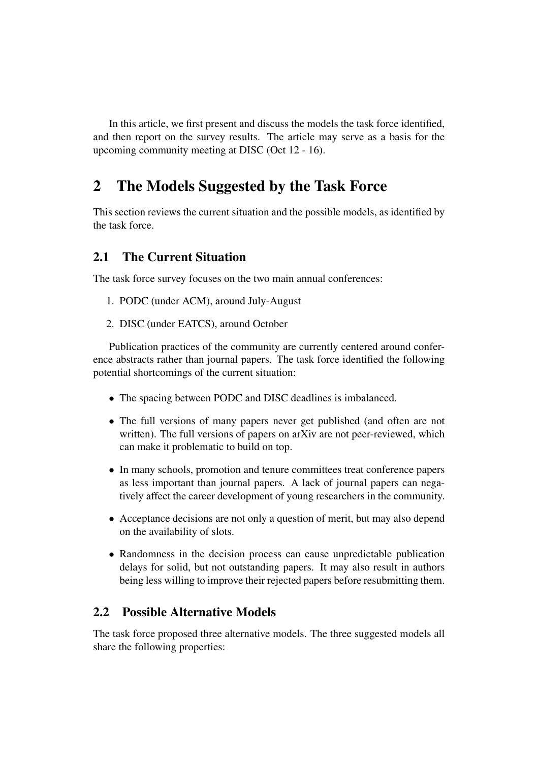In this article, we first present and discuss the models the task force identified, and then report on the survey results. The article may serve as a basis for the upcoming community meeting at DISC (Oct 12 - 16).

# 2 The Models Suggested by the Task Force

This section reviews the current situation and the possible models, as identified by the task force.

## 2.1 The Current Situation

The task force survey focuses on the two main annual conferences:

- 1. PODC (under ACM), around July-August
- 2. DISC (under EATCS), around October

Publication practices of the community are currently centered around conference abstracts rather than journal papers. The task force identified the following potential shortcomings of the current situation:

- The spacing between PODC and DISC deadlines is imbalanced.
- The full versions of many papers never get published (and often are not written). The full versions of papers on arXiv are not peer-reviewed, which can make it problematic to build on top.
- In many schools, promotion and tenure committees treat conference papers as less important than journal papers. A lack of journal papers can negatively affect the career development of young researchers in the community.
- Acceptance decisions are not only a question of merit, but may also depend on the availability of slots.
- Randomness in the decision process can cause unpredictable publication delays for solid, but not outstanding papers. It may also result in authors being less willing to improve their rejected papers before resubmitting them.

### 2.2 Possible Alternative Models

The task force proposed three alternative models. The three suggested models all share the following properties: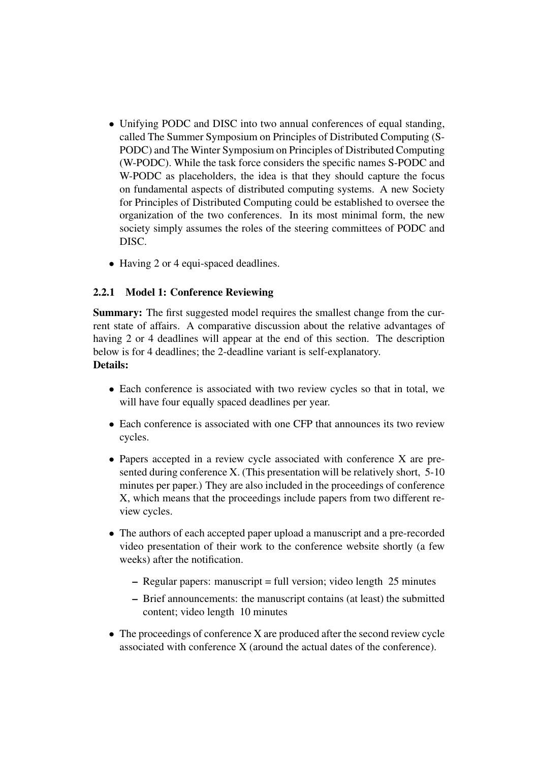- Unifying PODC and DISC into two annual conferences of equal standing, called The Summer Symposium on Principles of Distributed Computing (S-PODC) and The Winter Symposium on Principles of Distributed Computing (W-PODC). While the task force considers the specific names S-PODC and W-PODC as placeholders, the idea is that they should capture the focus on fundamental aspects of distributed computing systems. A new Society for Principles of Distributed Computing could be established to oversee the organization of the two conferences. In its most minimal form, the new society simply assumes the roles of the steering committees of PODC and DISC.
- Having 2 or 4 equi-spaced deadlines.

#### 2.2.1 Model 1: Conference Reviewing

Summary: The first suggested model requires the smallest change from the current state of affairs. A comparative discussion about the relative advantages of having 2 or 4 deadlines will appear at the end of this section. The description below is for 4 deadlines; the 2-deadline variant is self-explanatory. Details:

- Each conference is associated with two review cycles so that in total, we will have four equally spaced deadlines per year.
- Each conference is associated with one CFP that announces its two review cycles.
- Papers accepted in a review cycle associated with conference X are presented during conference X. (This presentation will be relatively short, 5-10 minutes per paper.) They are also included in the proceedings of conference X, which means that the proceedings include papers from two different review cycles.
- The authors of each accepted paper upload a manuscript and a pre-recorded video presentation of their work to the conference website shortly (a few weeks) after the notification.
	- Regular papers: manuscript = full version; video length 25 minutes
	- Brief announcements: the manuscript contains (at least) the submitted content; video length 10 minutes
- The proceedings of conference X are produced after the second review cycle associated with conference X (around the actual dates of the conference).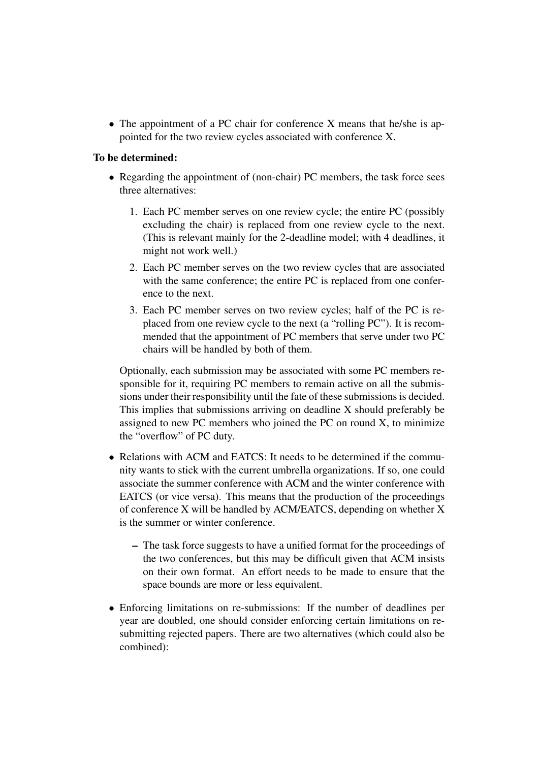• The appointment of a PC chair for conference X means that he/she is appointed for the two review cycles associated with conference X.

#### To be determined:

- Regarding the appointment of (non-chair) PC members, the task force sees three alternatives:
	- 1. Each PC member serves on one review cycle; the entire PC (possibly excluding the chair) is replaced from one review cycle to the next. (This is relevant mainly for the 2-deadline model; with 4 deadlines, it might not work well.)
	- 2. Each PC member serves on the two review cycles that are associated with the same conference; the entire PC is replaced from one conference to the next.
	- 3. Each PC member serves on two review cycles; half of the PC is replaced from one review cycle to the next (a "rolling PC"). It is recommended that the appointment of PC members that serve under two PC chairs will be handled by both of them.

Optionally, each submission may be associated with some PC members responsible for it, requiring PC members to remain active on all the submissions under their responsibility until the fate of these submissions is decided. This implies that submissions arriving on deadline X should preferably be assigned to new PC members who joined the PC on round X, to minimize the "overflow" of PC duty.

- Relations with ACM and EATCS: It needs to be determined if the community wants to stick with the current umbrella organizations. If so, one could associate the summer conference with ACM and the winter conference with EATCS (or vice versa). This means that the production of the proceedings of conference X will be handled by ACM/EATCS, depending on whether X is the summer or winter conference.
	- The task force suggests to have a unified format for the proceedings of the two conferences, but this may be difficult given that ACM insists on their own format. An effort needs to be made to ensure that the space bounds are more or less equivalent.
- Enforcing limitations on re-submissions: If the number of deadlines per year are doubled, one should consider enforcing certain limitations on resubmitting rejected papers. There are two alternatives (which could also be combined):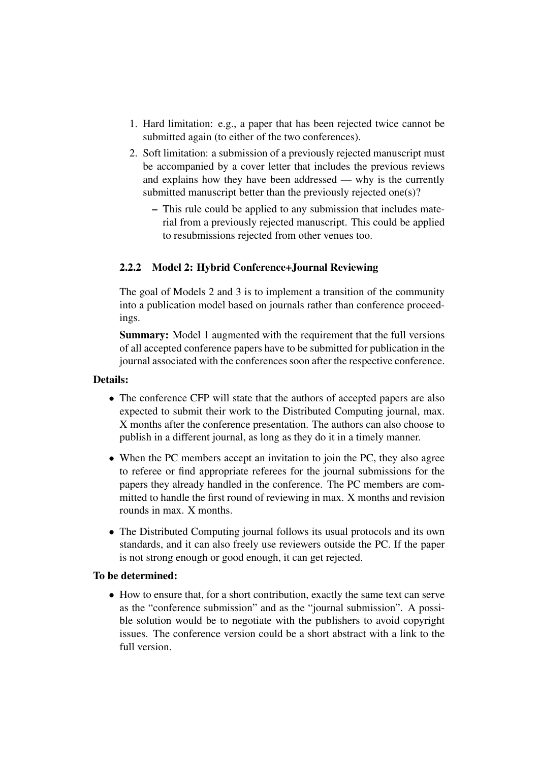- 1. Hard limitation: e.g., a paper that has been rejected twice cannot be submitted again (to either of the two conferences).
- 2. Soft limitation: a submission of a previously rejected manuscript must be accompanied by a cover letter that includes the previous reviews and explains how they have been addressed — why is the currently submitted manuscript better than the previously rejected one(s)?
	- This rule could be applied to any submission that includes material from a previously rejected manuscript. This could be applied to resubmissions rejected from other venues too.

#### 2.2.2 Model 2: Hybrid Conference+Journal Reviewing

The goal of Models 2 and 3 is to implement a transition of the community into a publication model based on journals rather than conference proceedings.

Summary: Model 1 augmented with the requirement that the full versions of all accepted conference papers have to be submitted for publication in the journal associated with the conferences soon after the respective conference.

#### Details:

- The conference CFP will state that the authors of accepted papers are also expected to submit their work to the Distributed Computing journal, max. X months after the conference presentation. The authors can also choose to publish in a different journal, as long as they do it in a timely manner.
- When the PC members accept an invitation to join the PC, they also agree to referee or find appropriate referees for the journal submissions for the papers they already handled in the conference. The PC members are committed to handle the first round of reviewing in max. X months and revision rounds in max. X months.
- The Distributed Computing journal follows its usual protocols and its own standards, and it can also freely use reviewers outside the PC. If the paper is not strong enough or good enough, it can get rejected.

#### To be determined:

• How to ensure that, for a short contribution, exactly the same text can serve as the "conference submission" and as the "journal submission". A possible solution would be to negotiate with the publishers to avoid copyright issues. The conference version could be a short abstract with a link to the full version.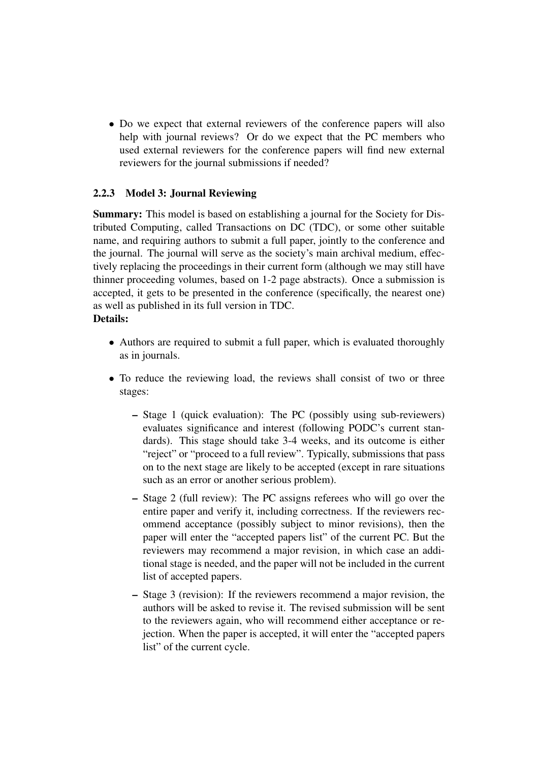• Do we expect that external reviewers of the conference papers will also help with journal reviews? Or do we expect that the PC members who used external reviewers for the conference papers will find new external reviewers for the journal submissions if needed?

#### 2.2.3 Model 3: Journal Reviewing

Summary: This model is based on establishing a journal for the Society for Distributed Computing, called Transactions on DC (TDC), or some other suitable name, and requiring authors to submit a full paper, jointly to the conference and the journal. The journal will serve as the society's main archival medium, effectively replacing the proceedings in their current form (although we may still have thinner proceeding volumes, based on 1-2 page abstracts). Once a submission is accepted, it gets to be presented in the conference (specifically, the nearest one) as well as published in its full version in TDC.

#### Details:

- Authors are required to submit a full paper, which is evaluated thoroughly as in journals.
- To reduce the reviewing load, the reviews shall consist of two or three stages:
	- Stage 1 (quick evaluation): The PC (possibly using sub-reviewers) evaluates significance and interest (following PODC's current standards). This stage should take 3-4 weeks, and its outcome is either "reject" or "proceed to a full review". Typically, submissions that pass on to the next stage are likely to be accepted (except in rare situations such as an error or another serious problem).
	- Stage 2 (full review): The PC assigns referees who will go over the entire paper and verify it, including correctness. If the reviewers recommend acceptance (possibly subject to minor revisions), then the paper will enter the "accepted papers list" of the current PC. But the reviewers may recommend a major revision, in which case an additional stage is needed, and the paper will not be included in the current list of accepted papers.
	- Stage 3 (revision): If the reviewers recommend a major revision, the authors will be asked to revise it. The revised submission will be sent to the reviewers again, who will recommend either acceptance or rejection. When the paper is accepted, it will enter the "accepted papers list" of the current cycle.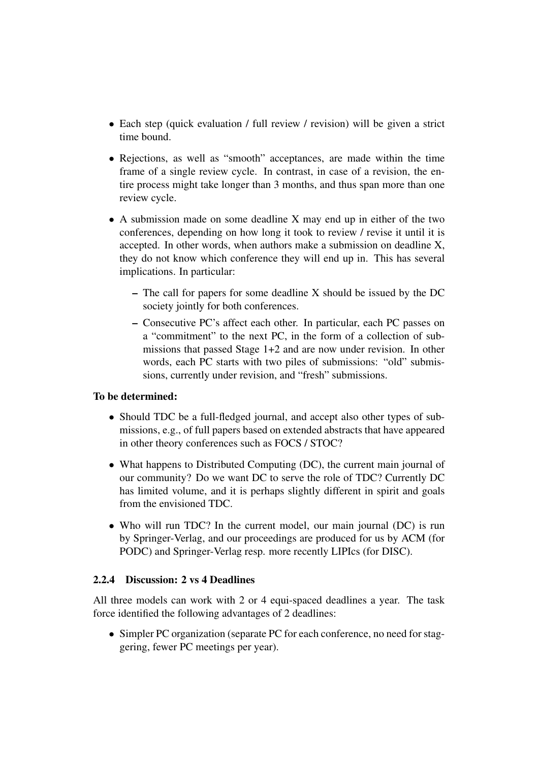- Each step (quick evaluation / full review / revision) will be given a strict time bound.
- Rejections, as well as "smooth" acceptances, are made within the time frame of a single review cycle. In contrast, in case of a revision, the entire process might take longer than 3 months, and thus span more than one review cycle.
- A submission made on some deadline X may end up in either of the two conferences, depending on how long it took to review / revise it until it is accepted. In other words, when authors make a submission on deadline X, they do not know which conference they will end up in. This has several implications. In particular:
	- The call for papers for some deadline X should be issued by the DC society jointly for both conferences.
	- Consecutive PC's affect each other. In particular, each PC passes on a "commitment" to the next PC, in the form of a collection of submissions that passed Stage 1+2 and are now under revision. In other words, each PC starts with two piles of submissions: "old" submissions, currently under revision, and "fresh" submissions.

#### To be determined:

- Should TDC be a full-fledged journal, and accept also other types of submissions, e.g., of full papers based on extended abstracts that have appeared in other theory conferences such as FOCS / STOC?
- What happens to Distributed Computing (DC), the current main journal of our community? Do we want DC to serve the role of TDC? Currently DC has limited volume, and it is perhaps slightly different in spirit and goals from the envisioned TDC.
- Who will run TDC? In the current model, our main journal (DC) is run by Springer-Verlag, and our proceedings are produced for us by ACM (for PODC) and Springer-Verlag resp. more recently LIPIcs (for DISC).

#### 2.2.4 Discussion: 2 vs 4 Deadlines

All three models can work with 2 or 4 equi-spaced deadlines a year. The task force identified the following advantages of 2 deadlines:

• Simpler PC organization (separate PC for each conference, no need for staggering, fewer PC meetings per year).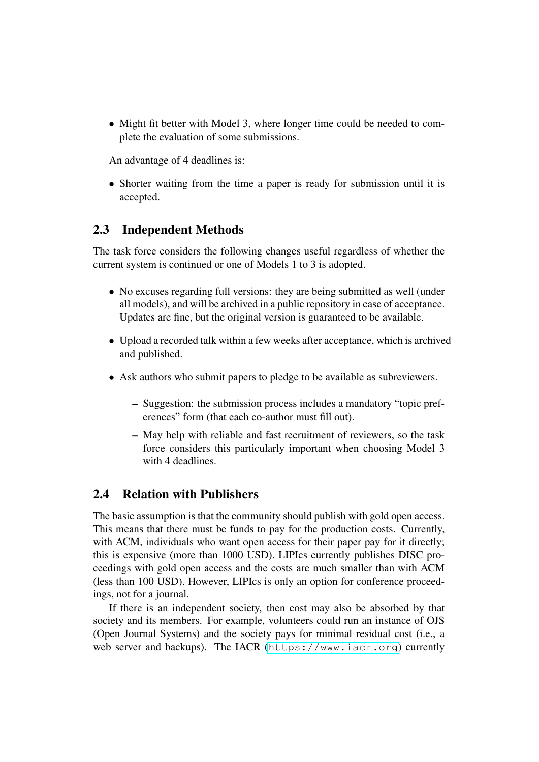• Might fit better with Model 3, where longer time could be needed to complete the evaluation of some submissions.

An advantage of 4 deadlines is:

• Shorter waiting from the time a paper is ready for submission until it is accepted.

### 2.3 Independent Methods

The task force considers the following changes useful regardless of whether the current system is continued or one of Models 1 to 3 is adopted.

- No excuses regarding full versions: they are being submitted as well (under all models), and will be archived in a public repository in case of acceptance. Updates are fine, but the original version is guaranteed to be available.
- Upload a recorded talk within a few weeks after acceptance, which is archived and published.
- Ask authors who submit papers to pledge to be available as subreviewers.
	- Suggestion: the submission process includes a mandatory "topic preferences" form (that each co-author must fill out).
	- May help with reliable and fast recruitment of reviewers, so the task force considers this particularly important when choosing Model 3 with 4 deadlines.

### 2.4 Relation with Publishers

The basic assumption is that the community should publish with gold open access. This means that there must be funds to pay for the production costs. Currently, with ACM, individuals who want open access for their paper pay for it directly; this is expensive (more than 1000 USD). LIPIcs currently publishes DISC proceedings with gold open access and the costs are much smaller than with ACM (less than 100 USD). However, LIPIcs is only an option for conference proceedings, not for a journal.

If there is an independent society, then cost may also be absorbed by that society and its members. For example, volunteers could run an instance of OJS (Open Journal Systems) and the society pays for minimal residual cost (i.e., a web server and backups). The IACR (<https://www.iacr.org>) currently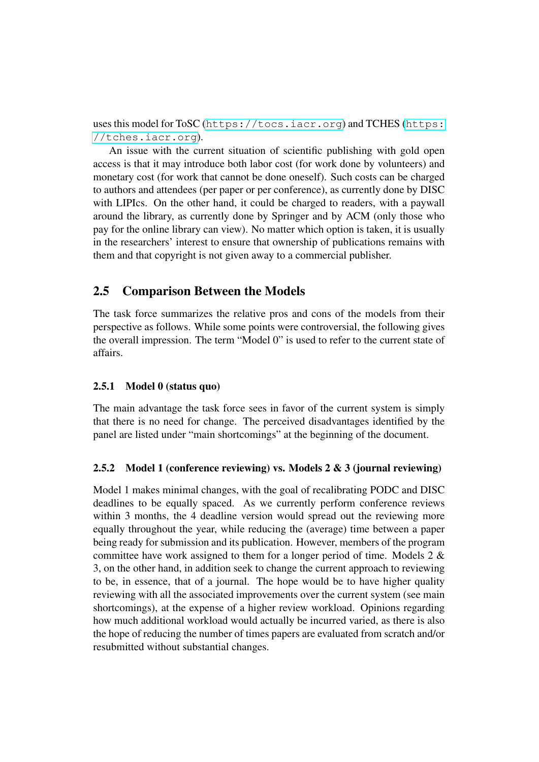uses this model for ToSC (<https://tocs.iacr.org>) and TCHES ([https:](https://tches.iacr.org) [//tches.iacr.org](https://tches.iacr.org)).

An issue with the current situation of scientific publishing with gold open access is that it may introduce both labor cost (for work done by volunteers) and monetary cost (for work that cannot be done oneself). Such costs can be charged to authors and attendees (per paper or per conference), as currently done by DISC with LIPIcs. On the other hand, it could be charged to readers, with a paywall around the library, as currently done by Springer and by ACM (only those who pay for the online library can view). No matter which option is taken, it is usually in the researchers' interest to ensure that ownership of publications remains with them and that copyright is not given away to a commercial publisher.

### 2.5 Comparison Between the Models

The task force summarizes the relative pros and cons of the models from their perspective as follows. While some points were controversial, the following gives the overall impression. The term "Model 0" is used to refer to the current state of affairs.

#### 2.5.1 Model 0 (status quo)

The main advantage the task force sees in favor of the current system is simply that there is no need for change. The perceived disadvantages identified by the panel are listed under "main shortcomings" at the beginning of the document.

#### 2.5.2 Model 1 (conference reviewing) vs. Models 2 & 3 (journal reviewing)

Model 1 makes minimal changes, with the goal of recalibrating PODC and DISC deadlines to be equally spaced. As we currently perform conference reviews within 3 months, the 4 deadline version would spread out the reviewing more equally throughout the year, while reducing the (average) time between a paper being ready for submission and its publication. However, members of the program committee have work assigned to them for a longer period of time. Models  $2 \&$ 3, on the other hand, in addition seek to change the current approach to reviewing to be, in essence, that of a journal. The hope would be to have higher quality reviewing with all the associated improvements over the current system (see main shortcomings), at the expense of a higher review workload. Opinions regarding how much additional workload would actually be incurred varied, as there is also the hope of reducing the number of times papers are evaluated from scratch and/or resubmitted without substantial changes.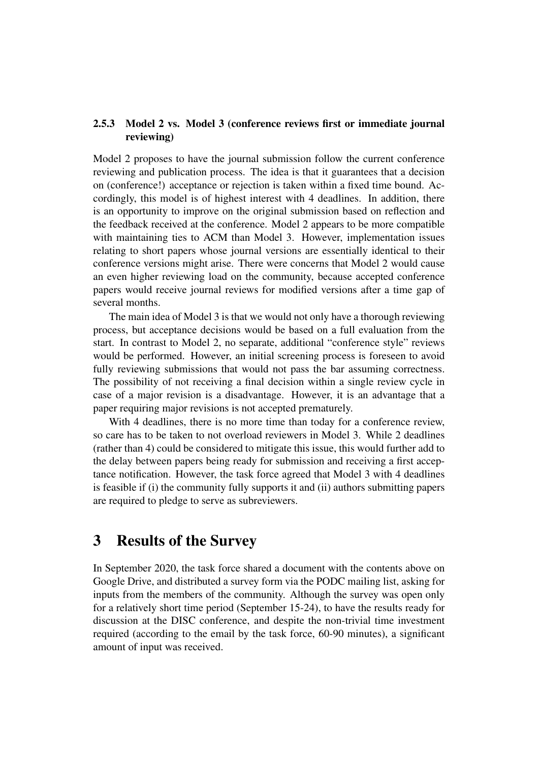#### 2.5.3 Model 2 vs. Model 3 (conference reviews first or immediate journal reviewing)

Model 2 proposes to have the journal submission follow the current conference reviewing and publication process. The idea is that it guarantees that a decision on (conference!) acceptance or rejection is taken within a fixed time bound. Accordingly, this model is of highest interest with 4 deadlines. In addition, there is an opportunity to improve on the original submission based on reflection and the feedback received at the conference. Model 2 appears to be more compatible with maintaining ties to ACM than Model 3. However, implementation issues relating to short papers whose journal versions are essentially identical to their conference versions might arise. There were concerns that Model 2 would cause an even higher reviewing load on the community, because accepted conference papers would receive journal reviews for modified versions after a time gap of several months.

The main idea of Model 3 is that we would not only have a thorough reviewing process, but acceptance decisions would be based on a full evaluation from the start. In contrast to Model 2, no separate, additional "conference style" reviews would be performed. However, an initial screening process is foreseen to avoid fully reviewing submissions that would not pass the bar assuming correctness. The possibility of not receiving a final decision within a single review cycle in case of a major revision is a disadvantage. However, it is an advantage that a paper requiring major revisions is not accepted prematurely.

With 4 deadlines, there is no more time than today for a conference review. so care has to be taken to not overload reviewers in Model 3. While 2 deadlines (rather than 4) could be considered to mitigate this issue, this would further add to the delay between papers being ready for submission and receiving a first acceptance notification. However, the task force agreed that Model 3 with 4 deadlines is feasible if (i) the community fully supports it and (ii) authors submitting papers are required to pledge to serve as subreviewers.

# 3 Results of the Survey

In September 2020, the task force shared a document with the contents above on Google Drive, and distributed a survey form via the PODC mailing list, asking for inputs from the members of the community. Although the survey was open only for a relatively short time period (September 15-24), to have the results ready for discussion at the DISC conference, and despite the non-trivial time investment required (according to the email by the task force, 60-90 minutes), a significant amount of input was received.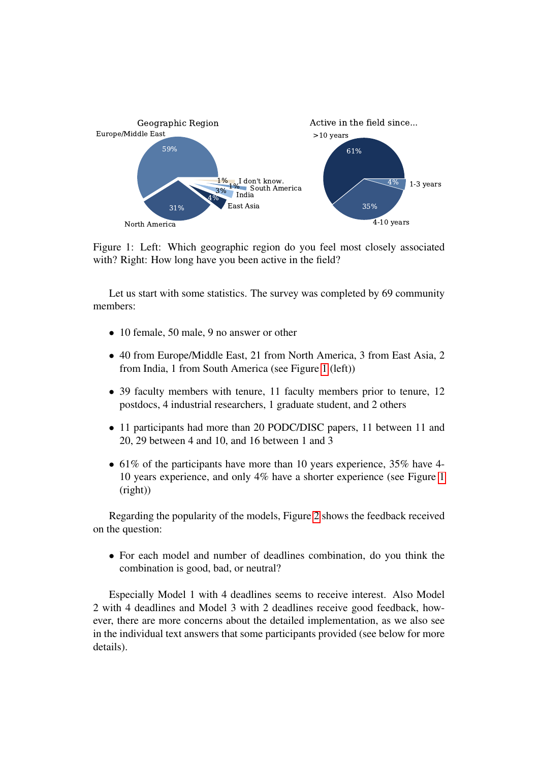<span id="page-10-0"></span>

Figure 1: Left: Which geographic region do you feel most closely associated with? Right: How long have you been active in the field?

Let us start with some statistics. The survey was completed by 69 community members:

- 10 female, 50 male, 9 no answer or other
- 40 from Europe/Middle East, 21 from North America, 3 from East Asia, 2 from India, 1 from South America (see Figure [1](#page-10-0) (left))
- 39 faculty members with tenure, 11 faculty members prior to tenure, 12 postdocs, 4 industrial researchers, 1 graduate student, and 2 others
- 11 participants had more than 20 PODC/DISC papers, 11 between 11 and 20, 29 between 4 and 10, and 16 between 1 and 3
- 61% of the participants have more than 10 years experience, 35% have 4-10 years experience, and only 4% have a shorter experience (see Figure [1](#page-10-0) (right))

Regarding the popularity of the models, Figure [2](#page-11-0) shows the feedback received on the question:

• For each model and number of deadlines combination, do you think the combination is good, bad, or neutral?

Especially Model 1 with 4 deadlines seems to receive interest. Also Model 2 with 4 deadlines and Model 3 with 2 deadlines receive good feedback, however, there are more concerns about the detailed implementation, as we also see in the individual text answers that some participants provided (see below for more details).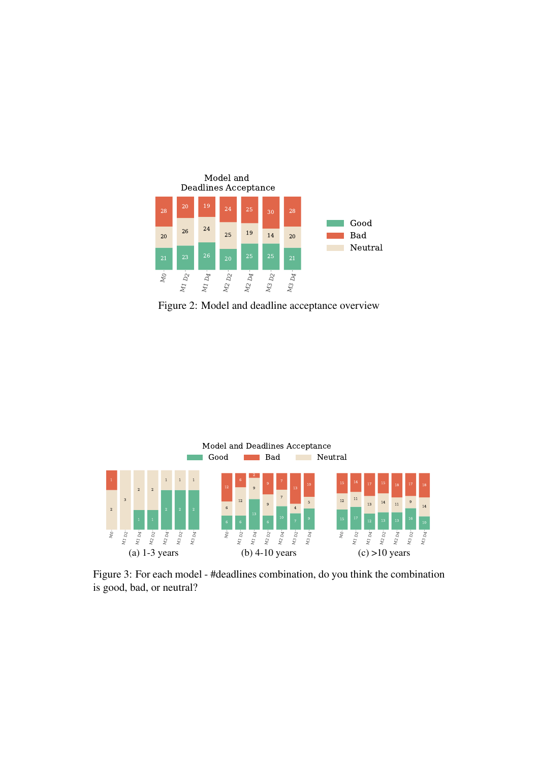<span id="page-11-0"></span>

Figure 2: Model and deadline acceptance overview

<span id="page-11-1"></span>

Figure 3: For each model - #deadlines combination, do you think the combination is good, bad, or neutral?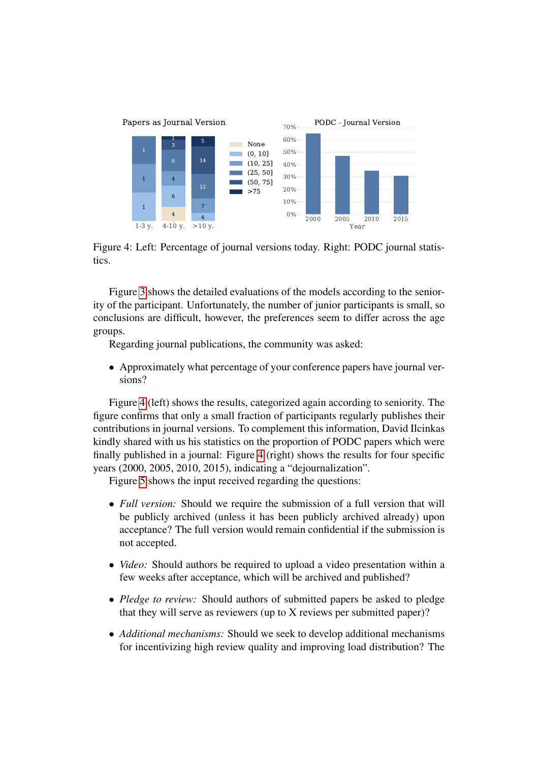<span id="page-12-0"></span>

Figure 4: Left: Percentage of journal versions today. Right: PODC journal statistics.

Figure [3](#page-11-1) shows the detailed evaluations of the models according to the seniority of the participant. Unfortunately, the number of junior participants is small, so conclusions are difficult, however, the preferences seem to differ across the age groups.

Regarding journal publications, the community was asked:

• Approximately what percentage of your conference papers have journal versions?

Figure [4](#page-12-0) (left) shows the results, categorized again according to seniority. The figure confirms that only a small fraction of participants regularly publishes their contributions in journal versions. To complement this information, David Ilcinkas kindly shared with us his statistics on the proportion of PODC papers which were finally published in a journal: Figure [4](#page-12-0) (right) shows the results for four specific years (2000, 2005, 2010, 2015), indicating a "dejournalization".

Figure [5](#page-13-0) shows the input received regarding the questions:

- *Full version:* Should we require the submission of a full version that will be publicly archived (unless it has been publicly archived already) upon acceptance? The full version would remain confidential if the submission is not accepted.
- *Video:* Should authors be required to upload a video presentation within a few weeks after acceptance, which will be archived and published?
- *Pledge to review:* Should authors of submitted papers be asked to pledge that they will serve as reviewers (up to X reviews per submitted paper)?
- *Additional mechanisms:* Should we seek to develop additional mechanisms for incentivizing high review quality and improving load distribution? The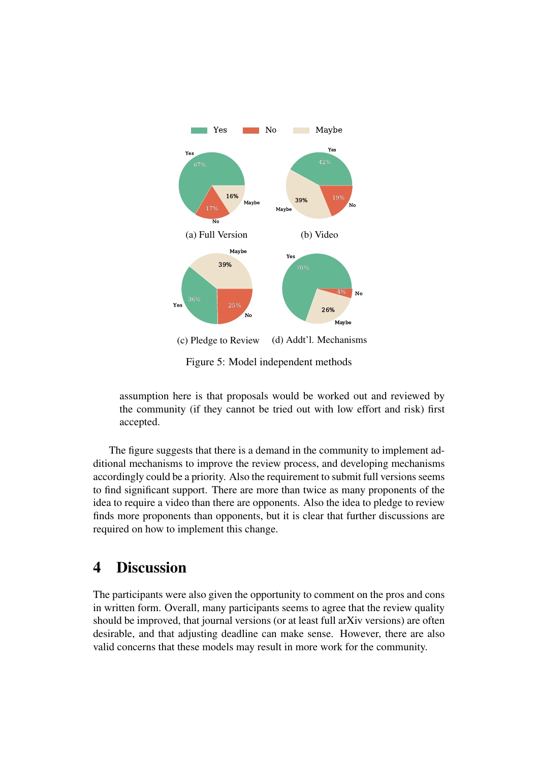<span id="page-13-0"></span>

Figure 5: Model independent methods

assumption here is that proposals would be worked out and reviewed by the community (if they cannot be tried out with low effort and risk) first accepted.

The figure suggests that there is a demand in the community to implement additional mechanisms to improve the review process, and developing mechanisms accordingly could be a priority. Also the requirement to submit full versions seems to find significant support. There are more than twice as many proponents of the idea to require a video than there are opponents. Also the idea to pledge to review finds more proponents than opponents, but it is clear that further discussions are required on how to implement this change.

# 4 Discussion

The participants were also given the opportunity to comment on the pros and cons in written form. Overall, many participants seems to agree that the review quality should be improved, that journal versions (or at least full arXiv versions) are often desirable, and that adjusting deadline can make sense. However, there are also valid concerns that these models may result in more work for the community.